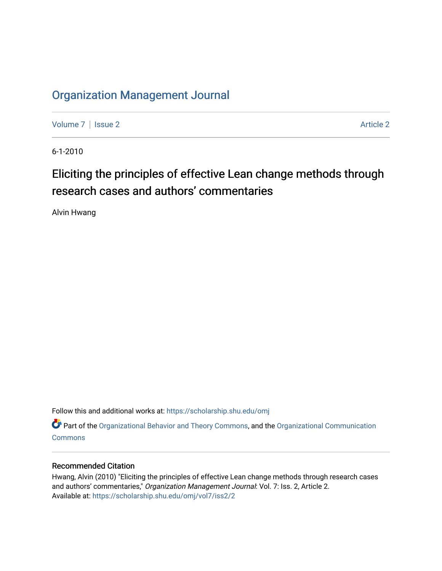### [Organization Management Journal](https://scholarship.shu.edu/omj)

[Volume 7](https://scholarship.shu.edu/omj/vol7) | [Issue 2](https://scholarship.shu.edu/omj/vol7/iss2) Article 2

6-1-2010

## Eliciting the principles of effective Lean change methods through research cases and authors' commentaries

Alvin Hwang

Follow this and additional works at: [https://scholarship.shu.edu/omj](https://scholarship.shu.edu/omj?utm_source=scholarship.shu.edu%2Fomj%2Fvol7%2Fiss2%2F2&utm_medium=PDF&utm_campaign=PDFCoverPages) 

Part of the [Organizational Behavior and Theory Commons,](http://network.bepress.com/hgg/discipline/639?utm_source=scholarship.shu.edu%2Fomj%2Fvol7%2Fiss2%2F2&utm_medium=PDF&utm_campaign=PDFCoverPages) and the [Organizational Communication](http://network.bepress.com/hgg/discipline/335?utm_source=scholarship.shu.edu%2Fomj%2Fvol7%2Fiss2%2F2&utm_medium=PDF&utm_campaign=PDFCoverPages) **[Commons](http://network.bepress.com/hgg/discipline/335?utm_source=scholarship.shu.edu%2Fomj%2Fvol7%2Fiss2%2F2&utm_medium=PDF&utm_campaign=PDFCoverPages)** 

#### Recommended Citation

Hwang, Alvin (2010) "Eliciting the principles of effective Lean change methods through research cases and authors' commentaries," Organization Management Journal: Vol. 7: Iss. 2, Article 2. Available at: [https://scholarship.shu.edu/omj/vol7/iss2/2](https://scholarship.shu.edu/omj/vol7/iss2/2?utm_source=scholarship.shu.edu%2Fomj%2Fvol7%2Fiss2%2F2&utm_medium=PDF&utm_campaign=PDFCoverPages)